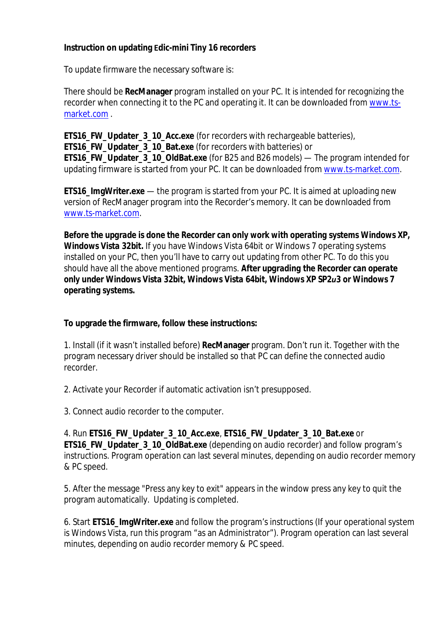## **Instruction on updating Еdic-mini Tiny 16 recorders**

To update firmware the necessary software is:

There should be **RecManager** program installed on your PC. It is intended for recognizing the recorder when connecting it to the PC and operating it. It can be downloaded from www.tsmarket.com .

**ETS16\_FW\_Updater\_3\_10\_Acc.exe** (for recorders with rechargeable batteries), **ETS16 FW Updater 3 10 Bat.exe** (for recorders with batteries) or **ETS16\_FW\_Updater\_3\_10\_OldBat.exe** (for B25 and B26 models) — The program intended for updating firmware is started from your PC. It can be downloaded from www.ts-market.com.

**ETS16 ImgWriter.exe** — the program is started from your PC. It is aimed at uploading new version of RecManager program into the Recorder's memory. It can be downloaded from www.ts-market.com.

*Before the upgrade is done the Recorder can only work with operating systems Windows XP, Windows Vista 32bit.* If you have Windows Vista 64bit or Windows 7 operating systems installed on your PC, then you'll have to carry out updating from other PC. To do this you should have all the above mentioned programs. *After upgrading the Recorder can operate only under Windows Vista 32bit, Windows Vista 64bit, Windows XP SP2и3 or Windows 7 operating systems.*

## **To upgrade the firmware, follow these instructions:**

1. Install (if it wasn't installed before) **RecManager** program. Don't run it. Together with the program necessary driver should be installed so that PC can define the connected audio recorder.

2. Activate your Recorder if automatic activation isn't presupposed.

3. Connect audio recorder to the computer.

4. Run **ETS16\_FW\_Updater\_3\_10\_Acc.exe**, **ETS16\_FW\_Updater\_3\_10\_Bat.exe** or **ETS16\_FW\_Updater\_3\_10\_OldBat.exe** (depending on audio recorder) and follow program's instructions. Program operation can last several minutes, depending on audio recorder memory & PC speed.

5. After the message "Press any key to exit" appears in the window press any key to quit the program automatically. Updating is completed.

6. Start **ETS16\_ImgWriter.exe** and follow the program's instructions (If your operational system is Windows Vista, run this program "as an Administrator"). Program operation can last several minutes, depending on audio recorder memory & PC speed.